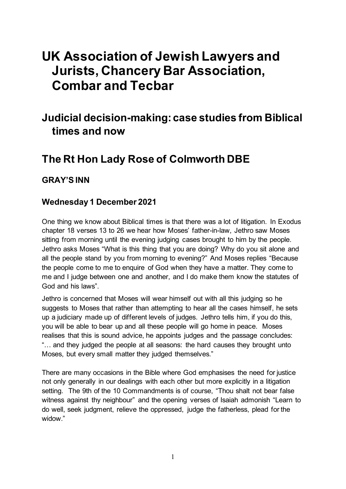# **UK Association of Jewish Lawyers and Jurists, Chancery Bar Association, Combar and Tecbar**

## **Judicial decision-making: case studies from Biblical times and now**

## **The Rt Hon Lady Rose of Colmworth DBE**

#### **GRAY'S INN**

#### **Wednesday 1 December 2021**

One thing we know about Biblical times is that there was a lot of litigation. In Exodus chapter 18 verses 13 to 26 we hear how Moses' father-in-law, Jethro saw Moses sitting from morning until the evening judging cases brought to him by the people. Jethro asks Moses "What is this thing that you are doing? Why do you sit alone and all the people stand by you from morning to evening?" And Moses replies "Because the people come to me to enquire of God when they have a matter. They come to me and I judge between one and another, and I do make them know the statutes of God and his laws".

Jethro is concerned that Moses will wear himself out with all this judging so he suggests to Moses that rather than attempting to hear all the cases himself, he sets up a judiciary made up of different levels of judges. Jethro tells him, if you do this, you will be able to bear up and all these people will go home in peace. Moses realises that this is sound advice, he appoints judges and the passage concludes: "… and they judged the people at all seasons: the hard causes they brought unto Moses, but every small matter they judged themselves."

There are many occasions in the Bible where God emphasises the need for justice not only generally in our dealings with each other but more explicitly in a litigation setting. The 9th of the 10 Commandments is of course, "Thou shalt not bear false witness against thy neighbour" and the opening verses of Isaiah admonish "Learn to do well, seek judgment, relieve the oppressed, judge the fatherless, plead for the widow."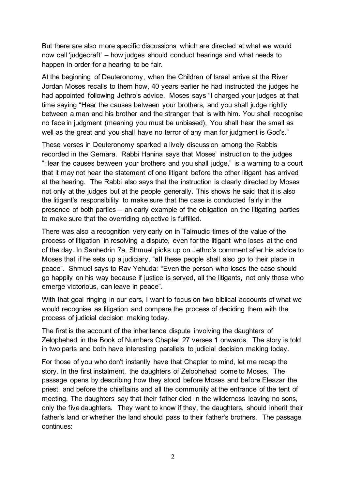But there are also more specific discussions which are directed at what we would now call 'judgecraft' – how judges should conduct hearings and what needs to happen in order for a hearing to be fair.

At the beginning of Deuteronomy, when the Children of Israel arrive at the River Jordan Moses recalls to them how, 40 years earlier he had instructed the judges he had appointed following Jethro's advice. Moses says "I charged your judges at that time saying "Hear the causes between your brothers, and you shall judge rightly between a man and his brother and the stranger that is with him. You shall recognise no face in judgment (meaning you must be unbiased), You shall hear the small as well as the great and you shall have no terror of any man for judgment is God's."

These verses in Deuteronomy sparked a lively discussion among the Rabbis recorded in the Gemara. Rabbi Hanina says that Moses' instruction to the judges "Hear the causes between your brothers and you shall judge," is a warning to a court that it may not hear the statement of one litigant before the other litigant has arrived at the hearing. The Rabbi also says that the instruction is clearly directed by Moses not only at the judges but at the people generally. This shows he said that it is also the litigant's responsibility to make sure that the case is conducted fairly in the presence of both parties – an early example of the obligation on the litigating parties to make sure that the overriding objective is fulfilled.

There was also a recognition very early on in Talmudic times of the value of the process of litigation in resolving a dispute, even for the litigant who loses at the end of the day. In Sanhedrin 7a, Shmuel picks up on Jethro's comment after his advice to Moses that if he sets up a judiciary, "**all** these people shall also go to their place in peace". Shmuel says to Rav Yehuda: "Even the person who loses the case should go happily on his way because if justice is served, all the litigants, not only those who emerge victorious, can leave in peace".

With that goal ringing in our ears, I want to focus on two biblical accounts of what we would recognise as litigation and compare the process of deciding them with the process of judicial decision making today.

The first is the account of the inheritance dispute involving the daughters of Zelophehad in the Book of Numbers Chapter 27 verses 1 onwards. The story is told in two parts and both have interesting parallels to judicial decision making today.

For those of you who don't instantly have that Chapter to mind, let me recap the story. In the first instalment, the daughters of Zelophehad come to Moses. The passage opens by describing how they stood before Moses and before Eleazar the priest, and before the chieftains and all the community at the entrance of the tent of meeting. The daughters say that their father died in the wilderness leaving no sons, only the five daughters. They want to know if they, the daughters, should inherit their father's land or whether the land should pass to their father's brothers. The passage continues: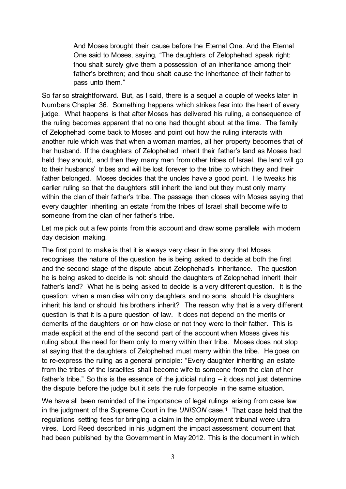And Moses brought their cause before the Eternal One. And the Eternal One said to Moses, saying, "The daughters of Zelophehad speak right: thou shalt surely give them a possession of an inheritance among their father's brethren; and thou shalt cause the inheritance of their father to pass unto them."

So far so straightforward. But, as I said, there is a sequel a couple of weeks later in Numbers Chapter 36. Something happens which strikes fear into the heart of every judge. What happens is that after Moses has delivered his ruling, a consequence of the ruling becomes apparent that no one had thought about at the time. The family of Zelophehad come back to Moses and point out how the ruling interacts with another rule which was that when a woman marries, all her property becomes that of her husband. If the daughters of Zelophehad inherit their father's land as Moses had held they should, and then they marry men from other tribes of Israel, the land will go to their husbands' tribes and will be lost forever to the tribe to which they and their father belonged. Moses decides that the uncles have a good point. He tweaks his earlier ruling so that the daughters still inherit the land but they must only marry within the clan of their father's tribe. The passage then closes with Moses saying that every daughter inheriting an estate from the tribes of Israel shall become wife to someone from the clan of her father's tribe.

Let me pick out a few points from this account and draw some parallels with modern day decision making.

The first point to make is that it is always very clear in the story that Moses recognises the nature of the question he is being asked to decide at both the first and the second stage of the dispute about Zelophehad's inheritance. The question he is being asked to decide is not: should the daughters of Zelophehad inherit their father's land? What he is being asked to decide is a very different question. It is the question: when a man dies with only daughters and no sons, should his daughters inherit his land or should his brothers inherit? The reason why that is a very different question is that it is a pure question of law. It does not depend on the merits or demerits of the daughters or on how close or not they were to their father. This is made explicit at the end of the second part of the account when Moses gives his ruling about the need for them only to marry within their tribe. Moses does not stop at saying that the daughters of Zelophehad must marry within the tribe. He goes on to re-express the ruling as a general principle: "Every daughter inheriting an estate from the tribes of the Israelites shall become wife to someone from the clan of her father's tribe." So this is the essence of the judicial ruling – it does not just determine the dispute before the judge but it sets the rule for people in the same situation.

We have all been reminded of the importance of legal rulings arising from case law in the judgment of the Supreme Court in the *UNISON* case.[1](#page-8-0) That case held that the regulations setting fees for bringing a claim in the employment tribunal were ultra vires. Lord Reed described in his judgment the impact assessment document that had been published by the Government in May 2012. This is the document in which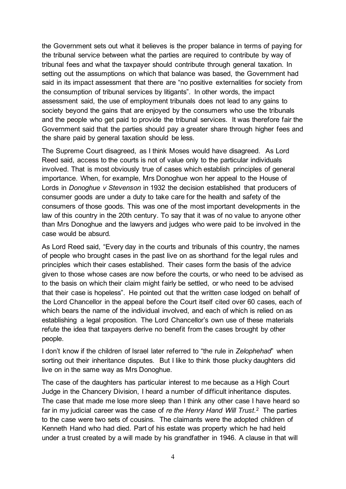the Government sets out what it believes is the proper balance in terms of paying for the tribunal service between what the parties are required to contribute by way of tribunal fees and what the taxpayer should contribute through general taxation. In setting out the assumptions on which that balance was based, the Government had said in its impact assessment that there are "no positive externalities for society from the consumption of tribunal services by litigants". In other words, the impact assessment said, the use of employment tribunals does not lead to any gains to society beyond the gains that are enjoyed by the consumers who use the tribunals and the people who get paid to provide the tribunal services. It was therefore fair the Government said that the parties should pay a greater share through higher fees and the share paid by general taxation should be less.

The Supreme Court disagreed, as I think Moses would have disagreed. As Lord Reed said, access to the courts is not of value only to the particular individuals involved. That is most obviously true of cases which establish principles of general importance. When, for example, Mrs Donoghue won her appeal to the House of Lords in *Donoghue v Stevenson* in 1932 the decision established that producers of consumer goods are under a duty to take care for the health and safety of the consumers of those goods. This was one of the most important developments in the law of this country in the 20th century. To say that it was of no value to anyone other than Mrs Donoghue and the lawyers and judges who were paid to be involved in the case would be absurd*.* 

As Lord Reed said, "Every day in the courts and tribunals of this country, the names of people who brought cases in the past live on as shorthand for the legal rules and principles which their cases established. Their cases form the basis of the advice given to those whose cases are now before the courts, or who need to be advised as to the basis on which their claim might fairly be settled, or who need to be advised that their case is hopeless". He pointed out that the written case lodged on behalf of the Lord Chancellor in the appeal before the Court itself cited over 60 cases, each of which bears the name of the individual involved, and each of which is relied on as establishing a legal proposition. The Lord Chancellor's own use of these materials refute the idea that taxpayers derive no benefit from the cases brought by other people.

I don't know if the children of Israel later referred to "the rule in *Zelophehad*" when sorting out their inheritance disputes. But I like to think those plucky daughters did live on in the same way as Mrs Donoghue.

The case of the daughters has particular interest to me because as a High Court Judge in the Chancery Division, I heard a number of difficult inheritance disputes. The case that made me lose more sleep than I think any other case I have heard so far in my judicial career was the case of *re the Henry Hand Will Trust*.[2](#page-8-1) The parties to the case were two sets of cousins. The claimants were the adopted children of Kenneth Hand who had died. Part of his estate was property which he had held under a trust created by a will made by his grandfather in 1946. A clause in that will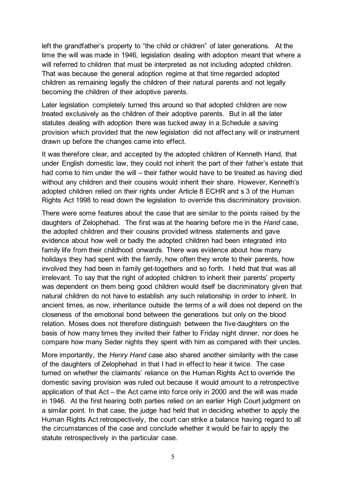left the grandfather's property to "the child or children" of later generations. At the time the will was made in 1946, legislation dealing with adoption meant that where a will referred to children that must be interpreted as not including adopted children. That was because the general adoption regime at that time regarded adopted children as remaining legally the children of their natural parents and not legally becoming the children of their adoptive parents.

Later legislation completely turned this around so that adopted children are now treated exclusively as the children of their adoptive parents. But in all the later statutes dealing with adoption there was tucked away in a Schedule a saving provision which provided that the new legislation did not affect any will or instrument drawn up before the changes came into effect.

It was therefore clear, and accepted by the adopted children of Kenneth Hand, that under English domestic law, they could not inherit the part of their father's estate that had come to him under the will – their father would have to be treated as having died without any children and their cousins would inherit their share. However, Kenneth's adopted children relied on their rights under Article 8 ECHR and s 3 of the Human Rights Act 1998 to read down the legislation to override this discriminatory provision.

There were some features about the case that are similar to the points raised by the daughters of Zelophehad. The first was at the hearing before me in the *Hand* case, the adopted children and their cousins provided witness statements and gave evidence about how well or badly the adopted children had been integrated into family life from their childhood onwards. There was evidence about how many holidays they had spent with the family, how often they wrote to their parents, how involved they had been in family get-togethers and so forth. I held that that was all irrelevant. To say that the right of adopted children to inherit their parents' property was dependent on them being good children would itself be discriminatory given that natural children do not have to establish any such relationship in order to inherit. In ancient times, as now, inheritance outside the terms of a will does not depend on the closeness of the emotional bond between the generations but only on the blood relation. Moses does not therefore distinguish between the five daughters on the basis of how many times they invited their father to Friday night dinner, nor does he compare how many Seder nights they spent with him as compared with their uncles.

More importantly, the *Henry Hand* case also shared another similarity with the case of the daughters of Zelophehad in that I had in effect to hear it twice. The case turned on whether the claimants' reliance on the Human Rights Act to override the domestic saving provision was ruled out because it would amount to a retrospective application of that Act – the Act came into force only in 2000 and the will was made in 1946. At the first hearing both parties relied on an earlier High Court judgment on a similar point. In that case, the judge had held that in deciding whether to apply the Human Rights Act retrospectively, the court can strike a balance having regard to all the circumstances of the case and conclude whether it would be fair to apply the statute retrospectively in the particular case.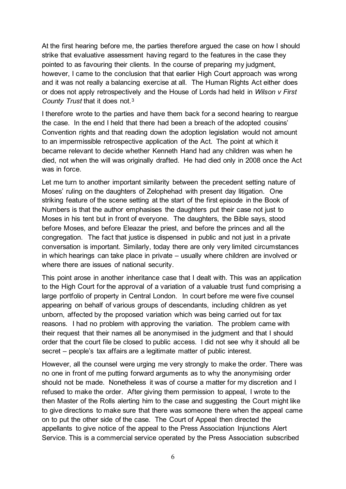At the first hearing before me, the parties therefore argued the case on how I should strike that evaluative assessment having regard to the features in the case they pointed to as favouring their clients. In the course of preparing my judgment, however, I came to the conclusion that that earlier High Court approach was wrong and it was not really a balancing exercise at all. The Human Rights Act either does or does not apply retrospectively and the House of Lords had held in *Wilson v First County Trust* that it does not.[3](#page-8-2)

I therefore wrote to the parties and have them back for a second hearing to reargue the case. In the end I held that there had been a breach of the adopted cousins' Convention rights and that reading down the adoption legislation would not amount to an impermissible retrospective application of the Act. The point at which it became relevant to decide whether Kenneth Hand had any children was when he died, not when the will was originally drafted. He had died only in 2008 once the Act was in force.

Let me turn to another important similarity between the precedent setting nature of Moses' ruling on the daughters of Zelophehad with present day litigation. One striking feature of the scene setting at the start of the first episode in the Book of Numbers is that the author emphasises the daughters put their case not just to Moses in his tent but in front of everyone. The daughters, the Bible says, stood before Moses, and before Eleazar the priest, and before the princes and all the congregation. The fact that justice is dispensed in public and not just in a private conversation is important. Similarly, today there are only very limited circumstances in which hearings can take place in private – usually where children are involved or where there are issues of national security.

This point arose in another inheritance case that I dealt with. This was an application to the High Court for the approval of a variation of a valuable trust fund comprising a large portfolio of property in Central London. In court before me were five counsel appearing on behalf of various groups of descendants, including children as yet unborn, affected by the proposed variation which was being carried out for tax reasons. I had no problem with approving the variation. The problem came with their request that their names all be anonymised in the judgment and that I should order that the court file be closed to public access. I did not see why it should all be secret – people's tax affairs are a legitimate matter of public interest.

However, all the counsel were urging me very strongly to make the order. There was no one in front of me putting forward arguments as to why the anonymising order should not be made. Nonetheless it was of course a matter for my discretion and I refused to make the order. After giving them permission to appeal, I wrote to the then Master of the Rolls alerting him to the case and suggesting the Court might like to give directions to make sure that there was someone there when the appeal came on to put the other side of the case. The Court of Appeal then directed the appellants to give notice of the appeal to the Press Association Injunctions Alert Service. This is a commercial service operated by the Press Association subscribed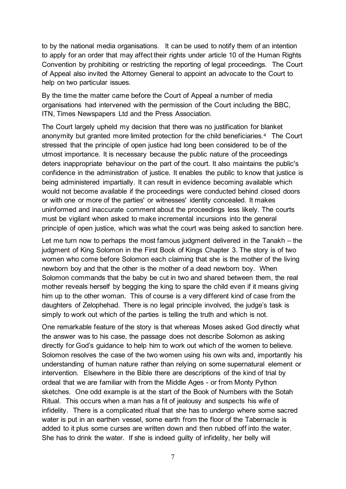to by the national media organisations. It can be used to notify them of an intention to apply for an order that may affect their rights under article 10 of the Human Rights Convention by prohibiting or restricting the reporting of legal proceedings. The Court of Appeal also invited the Attorney General to appoint an advocate to the Court to help on two particular issues.

By the time the matter came before the Court of Appeal a number of media organisations had intervened with the permission of the Court including the BBC, ITN, Times Newspapers Ltd and the Press Association.

The Court largely upheld my decision that there was no justification for blanket anonymity but granted more limited protection for the child beneficiaries.[4](#page-8-3) The Court stressed that the principle of open justice had long been considered to be of the utmost importance. It is necessary because the public nature of the proceedings deters inappropriate behaviour on the part of the court. It also maintains the public's confidence in the administration of justice. It enables the public to know that justice is being administered impartially. It can result in evidence becoming available which would not become available if the proceedings were conducted behind closed doors or with one or more of the parties' or witnesses' identity concealed. It makes uninformed and inaccurate comment about the proceedings less likely. The courts must be vigilant when asked to make incremental incursions into the general principle of open justice, which was what the court was being asked to sanction here.

Let me turn now to perhaps the most famous judgment delivered in the Tanakh – the judgment of King Solomon in the First Book of Kings Chapter 3. The story is of two women who come before Solomon each claiming that she is the mother of the living newborn boy and that the other is the mother of a dead newborn boy. When Solomon commands that the baby be cut in two and shared between them, the real mother reveals herself by begging the king to spare the child even if it means giving him up to the other woman. This of course is a very different kind of case from the daughters of Zelophehad. There is no legal principle involved, the judge's task is simply to work out which of the parties is telling the truth and which is not.

One remarkable feature of the story is that whereas Moses asked God directly what the answer was to his case, the passage does not describe Solomon as asking directly for God's guidance to help him to work out which of the women to believe. Solomon resolves the case of the two women using his own wits and, importantly his understanding of human nature rather than relying on some supernatural element or intervention. Elsewhere in the Bible there are descriptions of the kind of trial by ordeal that we are familiar with from the Middle Ages - or from Monty Python sketches. One odd example is at the start of the Book of Numbers with the Sotah Ritual. This occurs when a man has a fit of jealousy and suspects his wife of infidelity. There is a complicated ritual that she has to undergo where some sacred water is put in an earthen vessel, some earth from the floor of the Tabernacle is added to it plus some curses are written down and then rubbed off into the water. She has to drink the water. If she is indeed guilty of infidelity, her belly will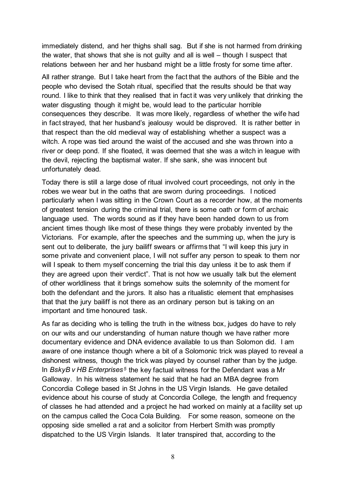immediately distend, and her thighs shall sag. But if she is not harmed from drinking the water, that shows that she is not guilty and all is well – though I suspect that relations between her and her husband might be a little frosty for some time after.

All rather strange. But I take heart from the fact that the authors of the Bible and the people who devised the Sotah ritual, specified that the results should be that way round. I like to think that they realised that in fact it was very unlikely that drinking the water disgusting though it might be, would lead to the particular horrible consequences they describe. It was more likely, regardless of whether the wife had in fact strayed, that her husband's jealousy would be disproved. It is rather better in that respect than the old medieval way of establishing whether a suspect was a witch. A rope was tied around the waist of the accused and she was thrown into a river or deep pond. If she floated, it was deemed that she was a witch in league with the devil, rejecting the baptismal water. If she sank, she was innocent but unfortunately dead.

Today there is still a large dose of ritual involved court proceedings, not only in the robes we wear but in the oaths that are sworn during proceedings. I noticed particularly when I was sitting in the Crown Court as a recorder how, at the moments of greatest tension during the criminal trial, there is some oath or form of archaic language used. The words sound as if they have been handed down to us from ancient times though like most of these things they were probably invented by the Victorians. For example, after the speeches and the summing up, when the jury is sent out to deliberate, the jury bailiff swears or affirms that "I will keep this jury in some private and convenient place, I will not suffer any person to speak to them nor will I speak to them myself concerning the trial this day unless it be to ask them if they are agreed upon their verdict". That is not how we usually talk but the element of other worldliness that it brings somehow suits the solemnity of the moment for both the defendant and the jurors. It also has a ritualistic element that emphasises that that the jury bailiff is not there as an ordinary person but is taking on an important and time honoured task.

As far as deciding who is telling the truth in the witness box, judges do have to rely on our wits and our understanding of human nature though we have rather more documentary evidence and DNA evidence available to us than Solomon did. I am aware of one instance though where a bit of a Solomonic trick was played to reveal a dishonest witness, though the trick was played by counsel rather than by the judge. In *BskyB v HB Enterprises*<sup>[5](#page-8-4)</sup> the key factual witness for the Defendant was a Mr Galloway. In his witness statement he said that he had an MBA degree from Concordia College based in St Johns in the US Virgin Islands. He gave detailed evidence about his course of study at Concordia College, the length and frequency of classes he had attended and a project he had worked on mainly at a facility set up on the campus called the Coca Cola Building. For some reason, someone on the opposing side smelled a rat and a solicitor from Herbert Smith was promptly dispatched to the US Virgin Islands. It later transpired that, according to the